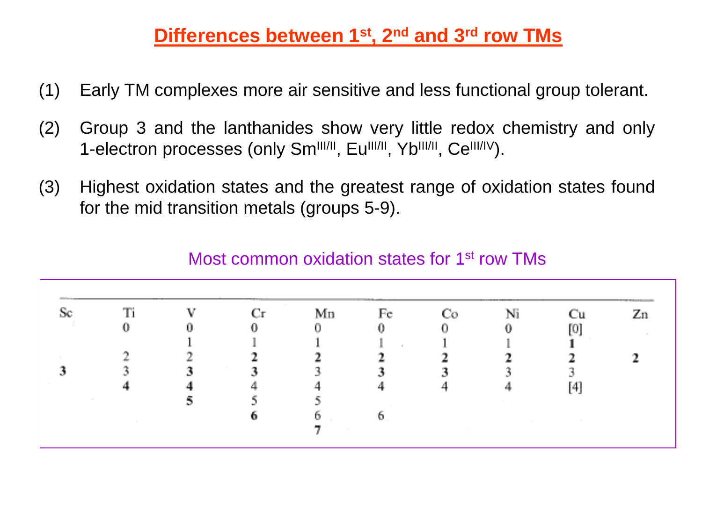## **Differences between 1st, 2nd and 3rd row TMs**

- (1) Early TM complexes more air sensitive and less functional group tolerant.
- (2) Group 3 and the lanthanides show very little redox chemistry and only 1-electron processes (only Sm<sup>III/II</sup>, Eu<sup>III/II</sup>, Yb<sup>III/II</sup>, Ce<sup>III/IV</sup>).
- (3) Highest oxidation states and the greatest range of oxidation states found for the mid transition metals (groups 5-9).

|  | <b>CONTRACTOR</b> |                                 | Mп                       | $\rm Fe^-$               |                               | Ni                                                       |                              |  |
|--|-------------------|---------------------------------|--------------------------|--------------------------|-------------------------------|----------------------------------------------------------|------------------------------|--|
|  |                   | 0.                              | n.                       |                          |                               | Л.                                                       | ЮI                           |  |
|  |                   |                                 |                          | - 11                     |                               |                                                          | the control of the<br>- 10 - |  |
|  |                   |                                 |                          |                          |                               |                                                          |                              |  |
|  |                   | <b>Contract Contract</b><br>-79 |                          |                          |                               | all de                                                   |                              |  |
|  |                   |                                 |                          |                          |                               |                                                          |                              |  |
|  |                   |                                 |                          | <b>Contract Contract</b> |                               | <b>Contract Contract</b>                                 |                              |  |
|  |                   |                                 | Ð.                       |                          |                               | the contract of the contract of the contract of the con- |                              |  |
|  | <b>Contractor</b> |                                 | <b>Contract Contract</b> |                          | the control of the control of |                                                          |                              |  |

## Most common oxidation states for 1<sup>st</sup> row TMs